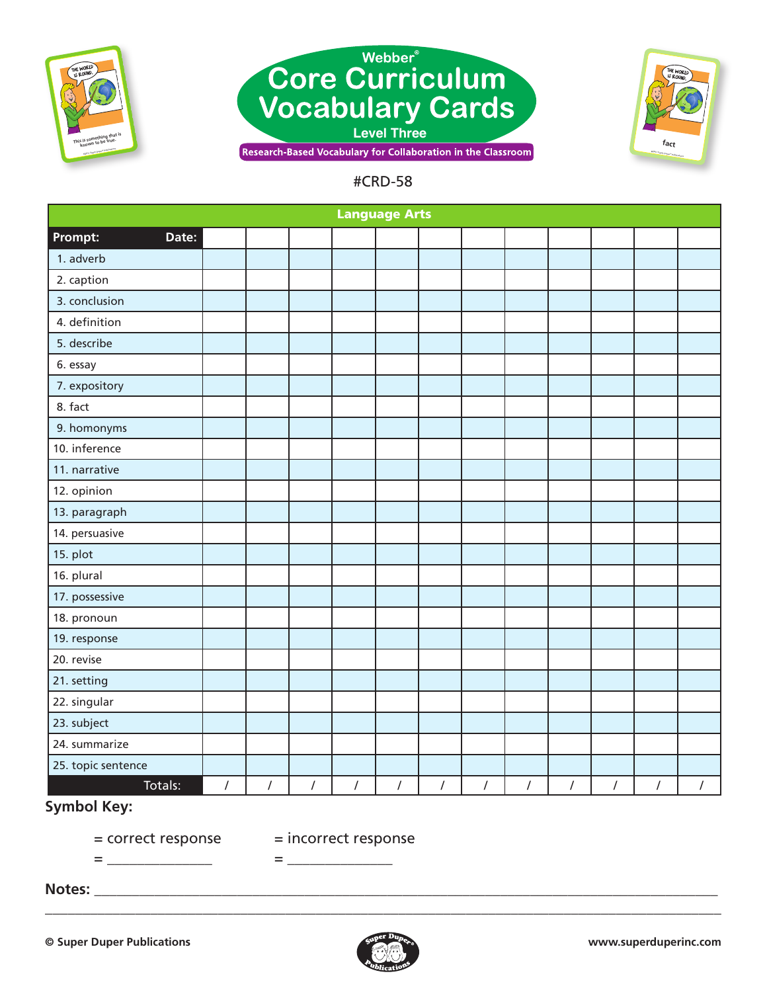





| <b>Language Arts</b> |                |            |            |                |            |                |            |                |            |                |                |                |
|----------------------|----------------|------------|------------|----------------|------------|----------------|------------|----------------|------------|----------------|----------------|----------------|
| Prompt:<br>Date:     |                |            |            |                |            |                |            |                |            |                |                |                |
| 1. adverb            |                |            |            |                |            |                |            |                |            |                |                |                |
| 2. caption           |                |            |            |                |            |                |            |                |            |                |                |                |
| 3. conclusion        |                |            |            |                |            |                |            |                |            |                |                |                |
| 4. definition        |                |            |            |                |            |                |            |                |            |                |                |                |
| 5. describe          |                |            |            |                |            |                |            |                |            |                |                |                |
| 6. essay             |                |            |            |                |            |                |            |                |            |                |                |                |
| 7. expository        |                |            |            |                |            |                |            |                |            |                |                |                |
| 8. fact              |                |            |            |                |            |                |            |                |            |                |                |                |
| 9. homonyms          |                |            |            |                |            |                |            |                |            |                |                |                |
| 10. inference        |                |            |            |                |            |                |            |                |            |                |                |                |
| 11. narrative        |                |            |            |                |            |                |            |                |            |                |                |                |
| 12. opinion          |                |            |            |                |            |                |            |                |            |                |                |                |
| 13. paragraph        |                |            |            |                |            |                |            |                |            |                |                |                |
| 14. persuasive       |                |            |            |                |            |                |            |                |            |                |                |                |
| 15. plot             |                |            |            |                |            |                |            |                |            |                |                |                |
| 16. plural           |                |            |            |                |            |                |            |                |            |                |                |                |
| 17. possessive       |                |            |            |                |            |                |            |                |            |                |                |                |
| 18. pronoun          |                |            |            |                |            |                |            |                |            |                |                |                |
| 19. response         |                |            |            |                |            |                |            |                |            |                |                |                |
| 20. revise           |                |            |            |                |            |                |            |                |            |                |                |                |
| 21. setting          |                |            |            |                |            |                |            |                |            |                |                |                |
| 22. singular         |                |            |            |                |            |                |            |                |            |                |                |                |
| 23. subject          |                |            |            |                |            |                |            |                |            |                |                |                |
| 24. summarize        |                |            |            |                |            |                |            |                |            |                |                |                |
| 25. topic sentence   |                |            |            |                |            |                |            |                |            |                |                |                |
| Totals:              | $\overline{I}$ | $\sqrt{ }$ | $\sqrt{ }$ | $\overline{1}$ | $\sqrt{ }$ | $\overline{I}$ | $\sqrt{ }$ | $\overline{I}$ | $\sqrt{ }$ | $\overline{I}$ | $\overline{1}$ | $\overline{I}$ |

# **Symbol Key:**

= \_\_\_\_\_\_\_\_\_\_\_\_\_\_ = \_\_\_\_\_\_\_\_\_\_\_\_\_\_

= correct response = incorrect response

**Notes:** \_\_\_\_\_\_\_\_\_\_\_\_\_\_\_\_\_\_\_\_\_\_\_\_\_\_\_\_\_\_\_\_\_\_\_\_\_\_\_\_\_\_\_\_\_\_\_\_\_\_\_\_\_\_\_\_\_\_\_\_\_\_\_\_\_\_\_\_\_\_\_\_\_\_\_\_\_\_\_\_\_\_\_

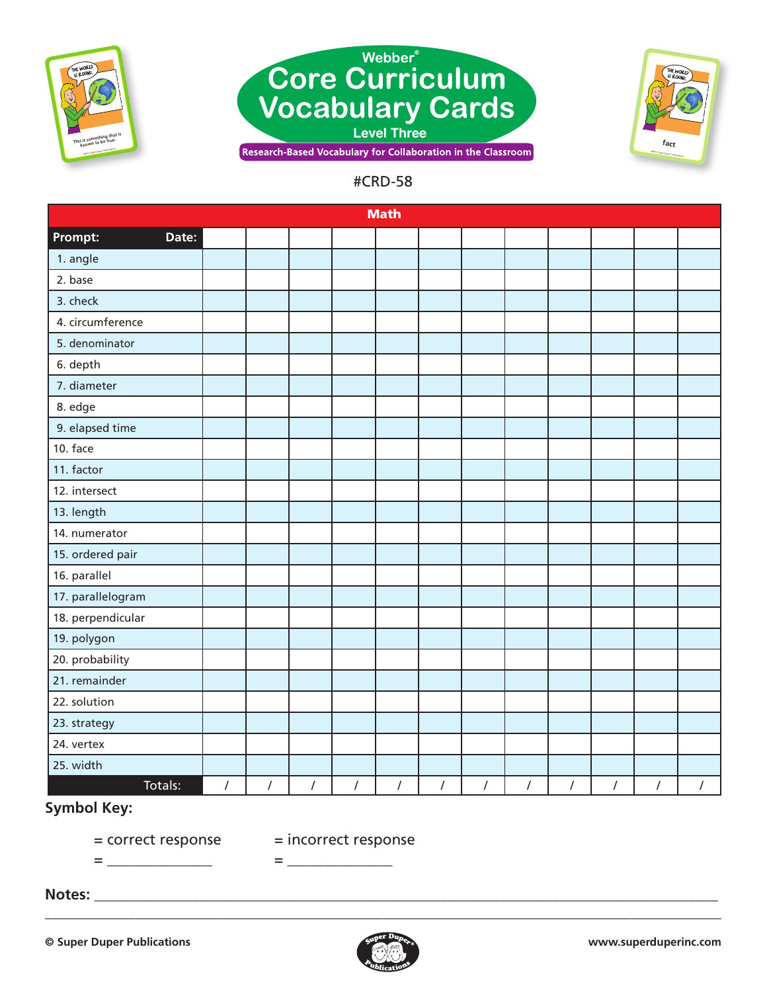





| <b>Math</b>       |                |            |                |            |                |            |            |                |            |                |            |                |
|-------------------|----------------|------------|----------------|------------|----------------|------------|------------|----------------|------------|----------------|------------|----------------|
| Prompt:<br>Date:  |                |            |                |            |                |            |            |                |            |                |            |                |
| 1. angle          |                |            |                |            |                |            |            |                |            |                |            |                |
| 2. base           |                |            |                |            |                |            |            |                |            |                |            |                |
| 3. check          |                |            |                |            |                |            |            |                |            |                |            |                |
| 4. circumference  |                |            |                |            |                |            |            |                |            |                |            |                |
| 5. denominator    |                |            |                |            |                |            |            |                |            |                |            |                |
| 6. depth          |                |            |                |            |                |            |            |                |            |                |            |                |
| 7. diameter       |                |            |                |            |                |            |            |                |            |                |            |                |
| 8. edge           |                |            |                |            |                |            |            |                |            |                |            |                |
| 9. elapsed time   |                |            |                |            |                |            |            |                |            |                |            |                |
| 10. face          |                |            |                |            |                |            |            |                |            |                |            |                |
| 11. factor        |                |            |                |            |                |            |            |                |            |                |            |                |
| 12. intersect     |                |            |                |            |                |            |            |                |            |                |            |                |
| 13. length        |                |            |                |            |                |            |            |                |            |                |            |                |
| 14. numerator     |                |            |                |            |                |            |            |                |            |                |            |                |
| 15. ordered pair  |                |            |                |            |                |            |            |                |            |                |            |                |
| 16. parallel      |                |            |                |            |                |            |            |                |            |                |            |                |
| 17. parallelogram |                |            |                |            |                |            |            |                |            |                |            |                |
| 18. perpendicular |                |            |                |            |                |            |            |                |            |                |            |                |
| 19. polygon       |                |            |                |            |                |            |            |                |            |                |            |                |
| 20. probability   |                |            |                |            |                |            |            |                |            |                |            |                |
| 21. remainder     |                |            |                |            |                |            |            |                |            |                |            |                |
| 22. solution      |                |            |                |            |                |            |            |                |            |                |            |                |
| 23. strategy      |                |            |                |            |                |            |            |                |            |                |            |                |
| 24. vertex        |                |            |                |            |                |            |            |                |            |                |            |                |
| 25. width         |                |            |                |            |                |            |            |                |            |                |            |                |
| Totals:           | $\overline{1}$ | $\sqrt{ }$ | $\overline{I}$ | $\sqrt{2}$ | $\overline{1}$ | $\sqrt{ }$ | $\sqrt{ }$ | $\overline{1}$ | $\sqrt{2}$ | $\overline{I}$ | $\sqrt{ }$ | $\overline{I}$ |

# **Symbol Key:**

= \_\_\_\_\_\_\_\_\_\_\_\_\_\_ = \_\_\_\_\_\_\_\_\_\_\_\_\_\_

= correct response = incorrect response

**Notes:** \_\_\_\_\_\_\_\_\_\_\_\_\_\_\_\_\_\_\_\_\_\_\_\_\_\_\_\_\_\_\_\_\_\_\_\_\_\_\_\_\_\_\_\_\_\_\_\_\_\_\_\_\_\_\_\_\_\_\_\_\_\_\_\_\_\_\_\_\_\_\_\_\_\_\_\_\_\_\_\_\_\_\_

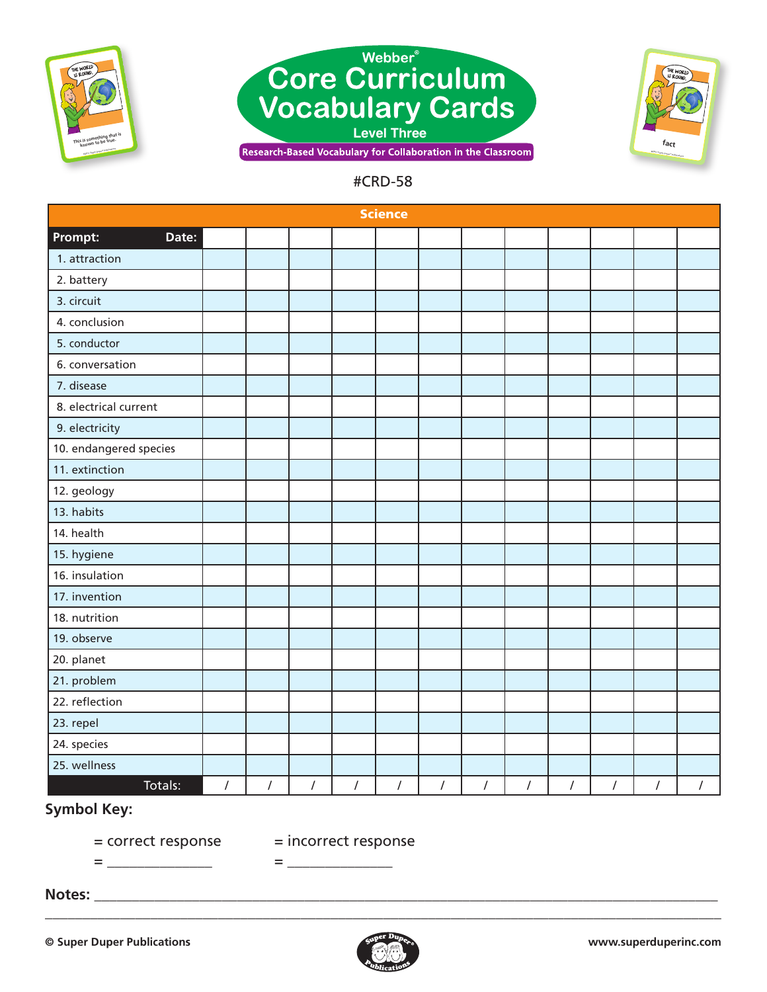





|                        | <b>Science</b> |            |            |            |                |                |            |                |            |            |            |                |
|------------------------|----------------|------------|------------|------------|----------------|----------------|------------|----------------|------------|------------|------------|----------------|
| Prompt:<br>Date:       |                |            |            |            |                |                |            |                |            |            |            |                |
| 1. attraction          |                |            |            |            |                |                |            |                |            |            |            |                |
| 2. battery             |                |            |            |            |                |                |            |                |            |            |            |                |
| 3. circuit             |                |            |            |            |                |                |            |                |            |            |            |                |
| 4. conclusion          |                |            |            |            |                |                |            |                |            |            |            |                |
| 5. conductor           |                |            |            |            |                |                |            |                |            |            |            |                |
| 6. conversation        |                |            |            |            |                |                |            |                |            |            |            |                |
| 7. disease             |                |            |            |            |                |                |            |                |            |            |            |                |
| 8. electrical current  |                |            |            |            |                |                |            |                |            |            |            |                |
| 9. electricity         |                |            |            |            |                |                |            |                |            |            |            |                |
| 10. endangered species |                |            |            |            |                |                |            |                |            |            |            |                |
| 11. extinction         |                |            |            |            |                |                |            |                |            |            |            |                |
| 12. geology            |                |            |            |            |                |                |            |                |            |            |            |                |
| 13. habits             |                |            |            |            |                |                |            |                |            |            |            |                |
| 14. health             |                |            |            |            |                |                |            |                |            |            |            |                |
| 15. hygiene            |                |            |            |            |                |                |            |                |            |            |            |                |
| 16. insulation         |                |            |            |            |                |                |            |                |            |            |            |                |
| 17. invention          |                |            |            |            |                |                |            |                |            |            |            |                |
| 18. nutrition          |                |            |            |            |                |                |            |                |            |            |            |                |
| 19. observe            |                |            |            |            |                |                |            |                |            |            |            |                |
| 20. planet             |                |            |            |            |                |                |            |                |            |            |            |                |
| 21. problem            |                |            |            |            |                |                |            |                |            |            |            |                |
| 22. reflection         |                |            |            |            |                |                |            |                |            |            |            |                |
| 23. repel              |                |            |            |            |                |                |            |                |            |            |            |                |
| 24. species            |                |            |            |            |                |                |            |                |            |            |            |                |
| 25. wellness           |                |            |            |            |                |                |            |                |            |            |            |                |
| Totals:                | $\sqrt{2}$     | $\sqrt{ }$ | $\sqrt{ }$ | $\sqrt{ }$ | $\overline{1}$ | $\overline{I}$ | $\sqrt{ }$ | $\overline{1}$ | $\sqrt{ }$ | $\sqrt{ }$ | $\sqrt{ }$ | $\overline{1}$ |

# **Symbol Key:**

= \_\_\_\_\_\_\_\_\_\_\_\_\_\_ = \_\_\_\_\_\_\_\_\_\_\_\_\_\_

 $=$  correct response  $=$  incorrect response

**Notes:** \_\_\_\_\_\_\_\_\_\_\_\_\_\_\_\_\_\_\_\_\_\_\_\_\_\_\_\_\_\_\_\_\_\_\_\_\_\_\_\_\_\_\_\_\_\_\_\_\_\_\_\_\_\_\_\_\_\_\_\_\_\_\_\_\_\_\_\_\_\_\_\_\_\_\_\_\_\_\_\_\_\_\_

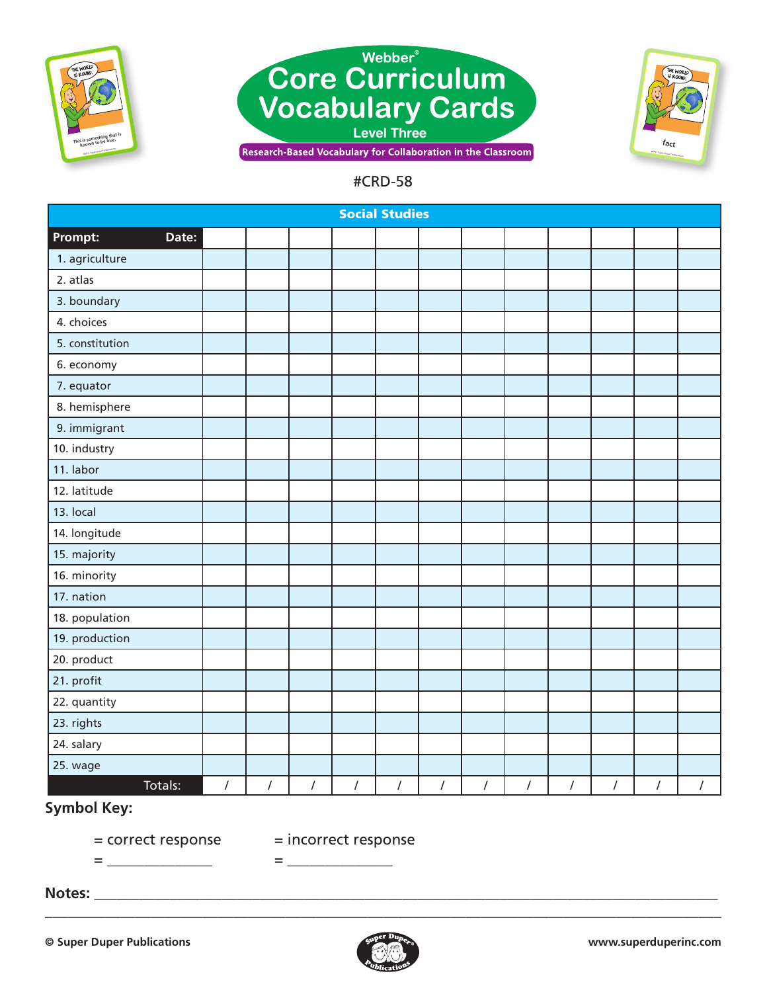





| <b>Social Studies</b> |            |                |            |            |            |                |            |                |                |                |            |            |
|-----------------------|------------|----------------|------------|------------|------------|----------------|------------|----------------|----------------|----------------|------------|------------|
| Prompt:<br>Date:      |            |                |            |            |            |                |            |                |                |                |            |            |
| 1. agriculture        |            |                |            |            |            |                |            |                |                |                |            |            |
| 2. atlas              |            |                |            |            |            |                |            |                |                |                |            |            |
| 3. boundary           |            |                |            |            |            |                |            |                |                |                |            |            |
| 4. choices            |            |                |            |            |            |                |            |                |                |                |            |            |
| 5. constitution       |            |                |            |            |            |                |            |                |                |                |            |            |
| 6. economy            |            |                |            |            |            |                |            |                |                |                |            |            |
| 7. equator            |            |                |            |            |            |                |            |                |                |                |            |            |
| 8. hemisphere         |            |                |            |            |            |                |            |                |                |                |            |            |
| 9. immigrant          |            |                |            |            |            |                |            |                |                |                |            |            |
| 10. industry          |            |                |            |            |            |                |            |                |                |                |            |            |
| 11. labor             |            |                |            |            |            |                |            |                |                |                |            |            |
| 12. latitude          |            |                |            |            |            |                |            |                |                |                |            |            |
| 13. local             |            |                |            |            |            |                |            |                |                |                |            |            |
| 14. longitude         |            |                |            |            |            |                |            |                |                |                |            |            |
| 15. majority          |            |                |            |            |            |                |            |                |                |                |            |            |
| 16. minority          |            |                |            |            |            |                |            |                |                |                |            |            |
| 17. nation            |            |                |            |            |            |                |            |                |                |                |            |            |
| 18. population        |            |                |            |            |            |                |            |                |                |                |            |            |
| 19. production        |            |                |            |            |            |                |            |                |                |                |            |            |
| 20. product           |            |                |            |            |            |                |            |                |                |                |            |            |
| 21. profit            |            |                |            |            |            |                |            |                |                |                |            |            |
| 22. quantity          |            |                |            |            |            |                |            |                |                |                |            |            |
| 23. rights            |            |                |            |            |            |                |            |                |                |                |            |            |
| 24. salary            |            |                |            |            |            |                |            |                |                |                |            |            |
| 25. wage              |            |                |            |            |            |                |            |                |                |                |            |            |
| Totals:               | $\sqrt{ }$ | $\overline{I}$ | $\sqrt{ }$ | $\sqrt{ }$ | $\sqrt{ }$ | $\overline{I}$ | $\sqrt{ }$ | $\overline{1}$ | $\overline{1}$ | $\overline{I}$ | $\sqrt{ }$ | $\sqrt{ }$ |

# **Symbol Key:**

= correct response = incorrect response

= \_\_\_\_\_\_\_\_\_\_\_\_\_\_ = \_\_\_\_\_\_\_\_\_\_\_\_\_\_

**Notes:** \_\_\_\_\_\_\_\_\_\_\_\_\_\_\_\_\_\_\_\_\_\_\_\_\_\_\_\_\_\_\_\_\_\_\_\_\_\_\_\_\_\_\_\_\_\_\_\_\_\_\_\_\_\_\_\_\_\_\_\_\_\_\_\_\_\_\_\_\_\_\_\_\_\_\_\_\_\_\_\_\_\_\_